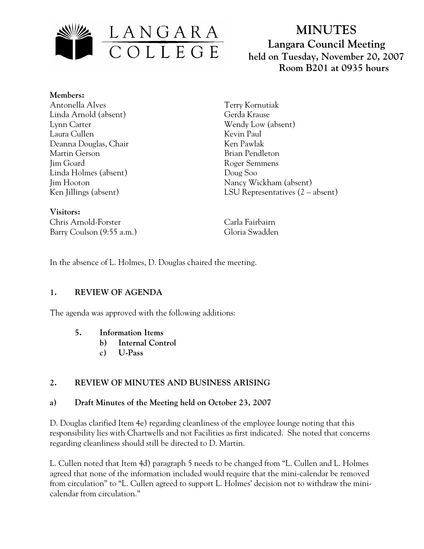

# **MINUTES Langara Council Meeting held on Tuesday, November 20, 2007 Room B201 at 0935 hours**

**Members:** Antonella Alves Linda Arnold (absent) Lynn Carter Laura Cullen Deanna Douglas, Chair Martin Gerson Jim Goard Linda Holmes (absent) Jim Hooton Ken Jillings (absent)

**Visitors:**  Chris Arnold-Forster Carla Fairbairn Barry Coulson (9:55 a.m.) Gloria Swadden

Terry Kornutiak Gerda Krause Wendy Low (absent) Kevin Paul Ken Pawlak Brian Pendleton Roger Semmens Doug Soo Nancy Wickham (absent) LSU Representatives (2 – absent)

In the absence of L. Holmes, D. Douglas chaired the meeting.

#### **1. REVIEW OF AGENDA**

The agenda was approved with the following additions:

- **5. Information Items** 
	- **b) Internal Control**
	- **c) U-Pass**

## **2. REVIEW OF MINUTES AND BUSINESS ARISING**

#### **a) Draft Minutes of the Meeting held on October 23, 2007**

D. Douglas clarified Item 4e) regarding cleanliness of the employee lounge noting that this responsibility lies with Chartwells and not Facilities as first indicated. She noted that concerns regarding cleanliness should still be directed to D. Martin.

L. Cullen noted that Item 4d) paragraph 5 needs to be changed from "L. Cullen and L. Holmes agreed that none of the information included would require that the mini-calendar be removed from circulation" to "L. Cullen agreed to support L. Holmes' decision not to withdraw the minicalendar from circulation."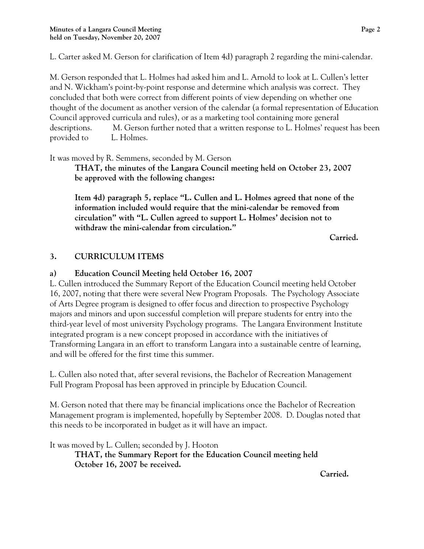L. Carter asked M. Gerson for clarification of Item 4d) paragraph 2 regarding the mini-calendar.

M. Gerson responded that L. Holmes had asked him and L. Arnold to look at L. Cullen's letter and N. Wickham's point-by-point response and determine which analysis was correct. They concluded that both were correct from different points of view depending on whether one thought of the document as another version of the calendar (a formal representation of Education Council approved curricula and rules), or as a marketing tool containing more general descriptions. M. Gerson further noted that a written response to L. Holmes' request has been provided to L. Holmes.

It was moved by R. Semmens, seconded by M. Gerson

**THAT, the minutes of the Langara Council meeting held on October 23, 2007 be approved with the following changes:** 

**Item 4d) paragraph 5, replace "L. Cullen and L. Holmes agreed that none of the information included would require that the mini-calendar be removed from circulation" with "L. Cullen agreed to support L. Holmes' decision not to withdraw the mini-calendar from circulation."** 

 **Carried.** 

# **3. CURRICULUM ITEMS**

## **a) Education Council Meeting held October 16, 2007**

L. Cullen introduced the Summary Report of the Education Council meeting held October 16, 2007, noting that there were several New Program Proposals. The Psychology Associate of Arts Degree program is designed to offer focus and direction to prospective Psychology majors and minors and upon successful completion will prepare students for entry into the third-year level of most university Psychology programs. The Langara Environment Institute integrated program is a new concept proposed in accordance with the initiatives of Transforming Langara in an effort to transform Langara into a sustainable centre of learning, and will be offered for the first time this summer.

L. Cullen also noted that, after several revisions, the Bachelor of Recreation Management Full Program Proposal has been approved in principle by Education Council.

M. Gerson noted that there may be financial implications once the Bachelor of Recreation Management program is implemented, hopefully by September 2008. D. Douglas noted that this needs to be incorporated in budget as it will have an impact.

It was moved by L. Cullen; seconded by J. Hooton **THAT, the Summary Report for the Education Council meeting held October 16, 2007 be received.** 

**Carried.**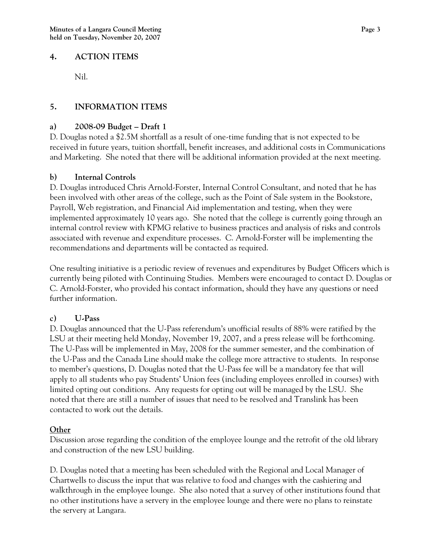#### **4. ACTION ITEMS**

Nil.

## **5. INFORMATION ITEMS**

#### **a) 2008-09 Budget – Draft 1**

D. Douglas noted a \$2.5M shortfall as a result of one-time funding that is not expected to be received in future years, tuition shortfall, benefit increases, and additional costs in Communications and Marketing. She noted that there will be additional information provided at the next meeting.

#### **b) Internal Controls**

D. Douglas introduced Chris Arnold-Forster, Internal Control Consultant, and noted that he has been involved with other areas of the college, such as the Point of Sale system in the Bookstore, Payroll, Web registration, and Financial Aid implementation and testing, when they were implemented approximately 10 years ago. She noted that the college is currently going through an internal control review with KPMG relative to business practices and analysis of risks and controls associated with revenue and expenditure processes. C. Arnold-Forster will be implementing the recommendations and departments will be contacted as required.

One resulting initiative is a periodic review of revenues and expenditures by Budget Officers which is currently being piloted with Continuing Studies. Members were encouraged to contact D. Douglas or C. Arnold-Forster, who provided his contact information, should they have any questions or need further information.

## **c) U-Pass**

D. Douglas announced that the U-Pass referendum's unofficial results of 88% were ratified by the LSU at their meeting held Monday, November 19, 2007, and a press release will be forthcoming. The U-Pass will be implemented in May, 2008 for the summer semester, and the combination of the U-Pass and the Canada Line should make the college more attractive to students. In response to member's questions, D. Douglas noted that the U-Pass fee will be a mandatory fee that will apply to all students who pay Students' Union fees (including employees enrolled in courses) with limited opting out conditions. Any requests for opting out will be managed by the LSU. She noted that there are still a number of issues that need to be resolved and Translink has been contacted to work out the details.

#### **Other**

Discussion arose regarding the condition of the employee lounge and the retrofit of the old library and construction of the new LSU building.

D. Douglas noted that a meeting has been scheduled with the Regional and Local Manager of Chartwells to discuss the input that was relative to food and changes with the cashiering and walkthrough in the employee lounge. She also noted that a survey of other institutions found that no other institutions have a servery in the employee lounge and there were no plans to reinstate the servery at Langara.